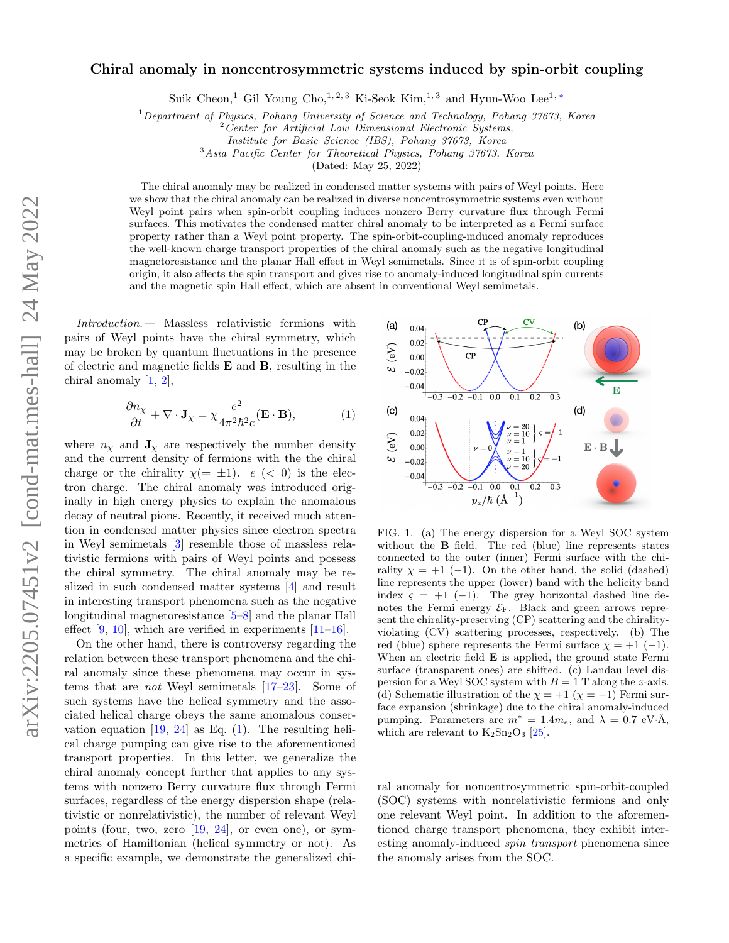## Chiral anomaly in noncentrosymmetric systems induced by spin-orbit coupling

Suik Cheon,<sup>1</sup> Gil Young Cho,<sup>1, 2, 3</sup> Ki-Seok Kim,<sup>1, 3</sup> and Hyun-Woo Lee<sup>1,\*</sup>

 $1$  Department of Physics, Pohang University of Science and Technology, Pohang 37673, Korea

<sup>3</sup>Asia Pacific Center for Theoretical Physics, Pohang 37673, Korea

(Dated: May 25, 2022)

The chiral anomaly may be realized in condensed matter systems with pairs of Weyl points. Here we show that the chiral anomaly can be realized in diverse noncentrosymmetric systems even without Weyl point pairs when spin-orbit coupling induces nonzero Berry curvature flux through Fermi surfaces. This motivates the condensed matter chiral anomaly to be interpreted as a Fermi surface property rather than a Weyl point property. The spin-orbit-coupling-induced anomaly reproduces the well-known charge transport properties of the chiral anomaly such as the negative longitudinal magnetoresistance and the planar Hall effect in Weyl semimetals. Since it is of spin-orbit coupling origin, it also affects the spin transport and gives rise to anomaly-induced longitudinal spin currents and the magnetic spin Hall effect, which are absent in conventional Weyl semimetals.

Introduction.— Massless relativistic fermions with pairs of Weyl points have the chiral symmetry, which may be broken by quantum fluctuations in the presence of electric and magnetic fields E and B, resulting in the chiral anomaly [\[1,](#page-4-1) [2\]](#page-4-2),

<span id="page-0-0"></span>
$$
\frac{\partial n_{\chi}}{\partial t} + \nabla \cdot \mathbf{J}_{\chi} = \chi \frac{e^2}{4\pi^2 \hbar^2 c} (\mathbf{E} \cdot \mathbf{B}), \tag{1}
$$

where  $n<sub>x</sub>$  and  $J<sub>x</sub>$  are respectively the number density and the current density of fermions with the the chiral charge or the chirality  $\chi(=\pm 1)$ .  $e \leq 0$  is the electron charge. The chiral anomaly was introduced originally in high energy physics to explain the anomalous decay of neutral pions. Recently, it received much attention in condensed matter physics since electron spectra in Weyl semimetals [\[3\]](#page-4-3) resemble those of massless relativistic fermions with pairs of Weyl points and possess the chiral symmetry. The chiral anomaly may be realized in such condensed matter systems [\[4\]](#page-4-4) and result in interesting transport phenomena such as the negative longitudinal magnetoresistance [\[5–](#page-4-5)[8\]](#page-4-6) and the planar Hall effect  $[9, 10]$  $[9, 10]$  $[9, 10]$ , which are verified in experiments  $[11-16]$  $[11-16]$ .

On the other hand, there is controversy regarding the relation between these transport phenomena and the chiral anomaly since these phenomena may occur in systems that are not Weyl semimetals [\[17–](#page-4-11)[23\]](#page-5-0). Some of such systems have the helical symmetry and the associated helical charge obeys the same anomalous conservation equation  $[19, 24]$  $[19, 24]$  $[19, 24]$  as Eq. [\(1\)](#page-0-0). The resulting helical charge pumping can give rise to the aforementioned transport properties. In this letter, we generalize the chiral anomaly concept further that applies to any systems with nonzero Berry curvature flux through Fermi surfaces, regardless of the energy dispersion shape (relativistic or nonrelativistic), the number of relevant Weyl points (four, two, zero  $[19, 24]$  $[19, 24]$  $[19, 24]$ , or even one), or symmetries of Hamiltonian (helical symmetry or not). As a specific example, we demonstrate the generalized chi-



<span id="page-0-3"></span><span id="page-0-2"></span><span id="page-0-1"></span>FIG. 1. (a) The energy dispersion for a Weyl SOC system without the **B** field. The red (blue) line represents states connected to the outer (inner) Fermi surface with the chirality  $\chi = +1$  (−1). On the other hand, the solid (dashed) line represents the upper (lower) band with the helicity band index  $\varsigma = +1$  (-1). The grey horizontal dashed line denotes the Fermi energy  $\mathcal{E}_F$ . Black and green arrows represent the chirality-preserving (CP) scattering and the chiralityviolating (CV) scattering processes, respectively. (b) The red (blue) sphere represents the Fermi surface  $\chi = +1$  (-1). When an electric field **E** is applied, the ground state Fermi surface (transparent ones) are shifted. (c) Landau level dispersion for a Weyl SOC system with  $B = 1$  T along the z-axis. (d) Schematic illustration of the  $\chi = +1$  ( $\chi = -1$ ) Fermi surface expansion (shrinkage) due to the chiral anomaly-induced pumping. Parameters are  $m^* = 1.4m_e$ , and  $\lambda = 0.7$  eV·Å, which are relevant to  $K_2Sn_2O_3$  [\[25\]](#page-5-2).

ral anomaly for noncentrosymmetric spin-orbit-coupled (SOC) systems with nonrelativistic fermions and only one relevant Weyl point. In addition to the aforementioned charge transport phenomena, they exhibit interesting anomaly-induced spin transport phenomena since the anomaly arises from the SOC.

 $2$  Center for Artificial Low Dimensional Electronic Systems,

Institute for Basic Science (IBS), Pohang 37673, Korea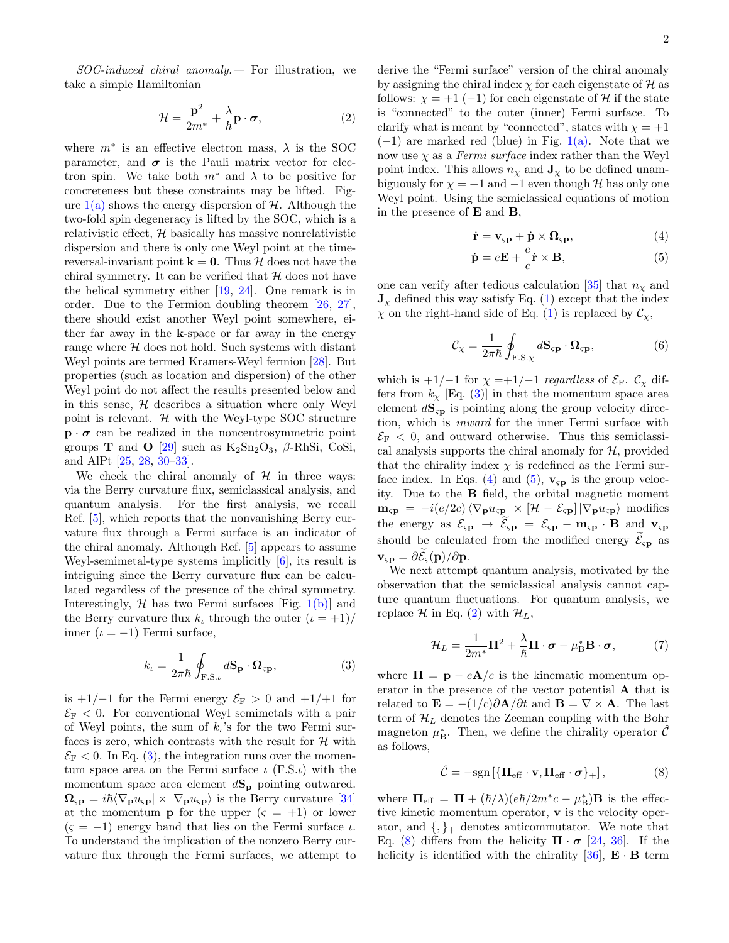SOC-induced chiral anomaly.— For illustration, we take a simple Hamiltonian

<span id="page-1-2"></span>
$$
\mathcal{H} = \frac{\mathbf{p}^2}{2m^*} + \frac{\lambda}{\hbar} \mathbf{p} \cdot \boldsymbol{\sigma},\tag{2}
$$

where  $m^*$  is an effective electron mass,  $\lambda$  is the SOC parameter, and  $\sigma$  is the Pauli matrix vector for electron spin. We take both  $m^*$  and  $\lambda$  to be positive for concreteness but these constraints may be lifted. Figure  $1(a)$  shows the energy dispersion of H. Although the two-fold spin degeneracy is lifted by the SOC, which is a relativistic effect,  $H$  basically has massive nonrelativistic dispersion and there is only one Weyl point at the timereversal-invariant point  $\mathbf{k} = \mathbf{0}$ . Thus H does not have the chiral symmetry. It can be verified that  $H$  does not have the helical symmetry either [\[19,](#page-4-12) [24\]](#page-5-1). One remark is in order. Due to the Fermion doubling theorem [\[26,](#page-5-3) [27\]](#page-5-4), there should exist another Weyl point somewhere, either far away in the k-space or far away in the energy range where  $H$  does not hold. Such systems with distant Weyl points are termed Kramers-Weyl fermion [\[28\]](#page-5-5). But properties (such as location and dispersion) of the other Weyl point do not affect the results presented below and in this sense,  $H$  describes a situation where only Weyl point is relevant.  $H$  with the Weyl-type SOC structure  $\mathbf{p} \cdot \boldsymbol{\sigma}$  can be realized in the noncentrosymmetric point groups **T** and **O** [\[29\]](#page-5-6) such as  $K_2Sn_2O_3$ ,  $\beta$ -RhSi, CoSi, and AlPt [\[25,](#page-5-2) [28,](#page-5-5) [30](#page-5-7)[–33\]](#page-5-8).

We check the chiral anomaly of  $H$  in three ways: via the Berry curvature flux, semiclassical analysis, and quantum analysis. For the first analysis, we recall Ref. [\[5\]](#page-4-5), which reports that the nonvanishing Berry curvature flux through a Fermi surface is an indicator of the chiral anomaly. Although Ref. [\[5\]](#page-4-5) appears to assume Weyl-semimetal-type systems implicitly [\[6\]](#page-4-13), its result is intriguing since the Berry curvature flux can be calculated regardless of the presence of the chiral symmetry. Interestingly,  $H$  has two Fermi surfaces [Fig. [1\(b\)\]](#page-0-2) and the Berry curvature flux  $k_l$ , through the outer  $(\iota = +1)/$ inner  $(\iota = -1)$  Fermi surface,

<span id="page-1-0"></span>
$$
k_{\iota} = \frac{1}{2\pi\hbar} \oint_{\mathbf{F.S.}\iota} d\mathbf{S_p} \cdot \mathbf{\Omega}_{\mathbf{sp}},
$$
 (3)

is +1/−1 for the Fermi energy  $\mathcal{E}_F > 0$  and +1/+1 for  $\mathcal{E}_F$  < 0. For conventional Weyl semimetals with a pair of Weyl points, the sum of  $k_i$ 's for the two Fermi surfaces is zero, which contrasts with the result for  $H$  with  $\mathcal{E}_\mathrm{F}$  < 0. In Eq. [\(3\)](#page-1-0), the integration runs over the momentum space area on the Fermi surface  $\iota$  (F.S. $\iota$ ) with the momentum space area element  $dS_p$  pointing outwared.  $\Omega_{\rm sp} = i\hbar \langle \nabla_{\bf p} u_{\rm sp} | \times | \nabla_{\bf p} u_{\rm sp} \rangle$  is the Berry curvature [\[34\]](#page-5-9) at the momentum **p** for the upper  $(s = +1)$  or lower  $(\zeta = -1)$  energy band that lies on the Fermi surface  $\iota$ . To understand the implication of the nonzero Berry curvature flux through the Fermi surfaces, we attempt to derive the "Fermi surface" version of the chiral anomaly by assigning the chiral index  $\chi$  for each eigenstate of H as follows:  $\chi = +1$  (-1) for each eigenstate of H if the state is "connected" to the outer (inner) Fermi surface. To clarify what is meant by "connected", states with  $\chi = +1$  $(-1)$  are marked red (blue) in Fig. [1\(a\).](#page-0-1) Note that we now use  $\chi$  as a *Fermi surface* index rather than the Weyl point index. This allows  $n<sub>\chi</sub>$  and  $J<sub>\chi</sub>$  to be defined unambiguously for  $\chi = +1$  and  $-1$  even though H has only one Weyl point. Using the semiclassical equations of motion in the presence of E and B,

<span id="page-1-1"></span>
$$
\dot{\mathbf{r}} = \mathbf{v}_{\rm sp} + \dot{\mathbf{p}} \times \mathbf{\Omega}_{\rm sp},\tag{4}
$$

$$
\dot{\mathbf{p}} = e\mathbf{E} + \frac{e}{c}\dot{\mathbf{r}} \times \mathbf{B},\tag{5}
$$

one can verify after tedious calculation [\[35\]](#page-5-10) that  $n<sub>\chi</sub>$  and  $J_{\chi}$  defined this way satisfy Eq. [\(1\)](#page-0-0) except that the index  $\chi$  on the right-hand side of Eq. [\(1\)](#page-0-0) is replaced by  $\mathcal{C}_{\chi}$ ,

$$
\mathcal{C}_{\chi} = \frac{1}{2\pi\hbar} \oint_{\mathbf{F.S.}\chi} d\mathbf{S}_{\mathbf{sp}} \cdot \mathbf{\Omega}_{\mathbf{sp}},\tag{6}
$$

which is  $+1/-1$  for  $\chi =+1/-1$  regardless of  $\mathcal{E}_F$ .  $\mathcal{C}_{\chi}$  differs from  $k_{\chi}$  [Eq. [\(3\)](#page-1-0)] in that the momentum space area element  $d\mathbf{S}_{\text{sp}}$  is pointing along the group velocity direction, which is inward for the inner Fermi surface with  $\mathcal{E}_\mathrm{F}$  < 0, and outward otherwise. Thus this semiclassical analysis supports the chiral anomaly for  $H$ , provided that the chirality index  $\chi$  is redefined as the Fermi sur-face index. In Eqs. [\(4\)](#page-1-1) and [\(5\)](#page-1-1),  $\mathbf{v}_{\rm cp}$  is the group velocity. Due to the B field, the orbital magnetic moment  $\mathbf{m_{sp}} = -i(e/2c)\langle \nabla_{\mathbf{p}} u_{sp} | \times [\mathcal{H} - \mathcal{E}_{sp}] | \nabla_{\mathbf{p}} u_{sp} \rangle$  modifies the energy as  $\mathcal{E}_{\varsigma \mathbf{p}} \to \widetilde{\mathcal{E}}_{\varsigma \mathbf{p}} = \mathcal{E}_{\varsigma \mathbf{p}} - \mathbf{m}_{\varsigma \mathbf{p}} \cdot \mathbf{B}$  and  $\mathbf{v}_{\varsigma \mathbf{p}}$ should be calculated from the modified energy  $\mathcal{E}_{\text{cp}}$  as  $\mathbf{v}_{\varsigma \mathbf{p}} = \partial \overline{\mathcal{E}}_{\varsigma}(\mathbf{p})/\partial \mathbf{p}.$ 

We next attempt quantum analysis, motivated by the observation that the semiclassical analysis cannot capture quantum fluctuations. For quantum analysis, we replace H in Eq. [\(2\)](#page-1-2) with  $\mathcal{H}_L$ ,

$$
\mathcal{H}_L = \frac{1}{2m^*} \mathbf{\Pi}^2 + \frac{\lambda}{\hbar} \mathbf{\Pi} \cdot \boldsymbol{\sigma} - \mu \mathbf{B}^* \mathbf{B} \cdot \boldsymbol{\sigma},\tag{7}
$$

where  $\Pi = \mathbf{p} - e\mathbf{A}/c$  is the kinematic momentum operator in the presence of the vector potential A that is related to  $\mathbf{E} = -(1/c)\partial \mathbf{A}/\partial t$  and  $\mathbf{B} = \nabla \times \mathbf{A}$ . The last term of  $\mathcal{H}_L$  denotes the Zeeman coupling with the Bohr magneton  $\mu_{\text{B}}^*$ . Then, we define the chirality operator  $\hat{\mathcal{C}}$ as follows,

<span id="page-1-3"></span>
$$
\hat{\mathcal{C}} = -\text{sgn}\left[\left\{\mathbf{\Pi}_{\text{eff}} \cdot \mathbf{v}, \mathbf{\Pi}_{\text{eff}} \cdot \boldsymbol{\sigma}\right\}_{+}\right],\tag{8}
$$

where  $\Pi_{\text{eff}} = \Pi + (\hbar/\lambda)(e\hbar/2m^*c - \mu^*_{\text{B}})\mathbf{B}$  is the effective kinetic momentum operator, v is the velocity operator, and  $\{,\}_+$  denotes anticommutator. We note that Eq. [\(8\)](#page-1-3) differs from the helicity  $\Pi \cdot \sigma$  [\[24,](#page-5-1) [36\]](#page-5-11). If the helicity is identified with the chirality  $[36]$ ,  $\mathbf{E} \cdot \mathbf{B}$  term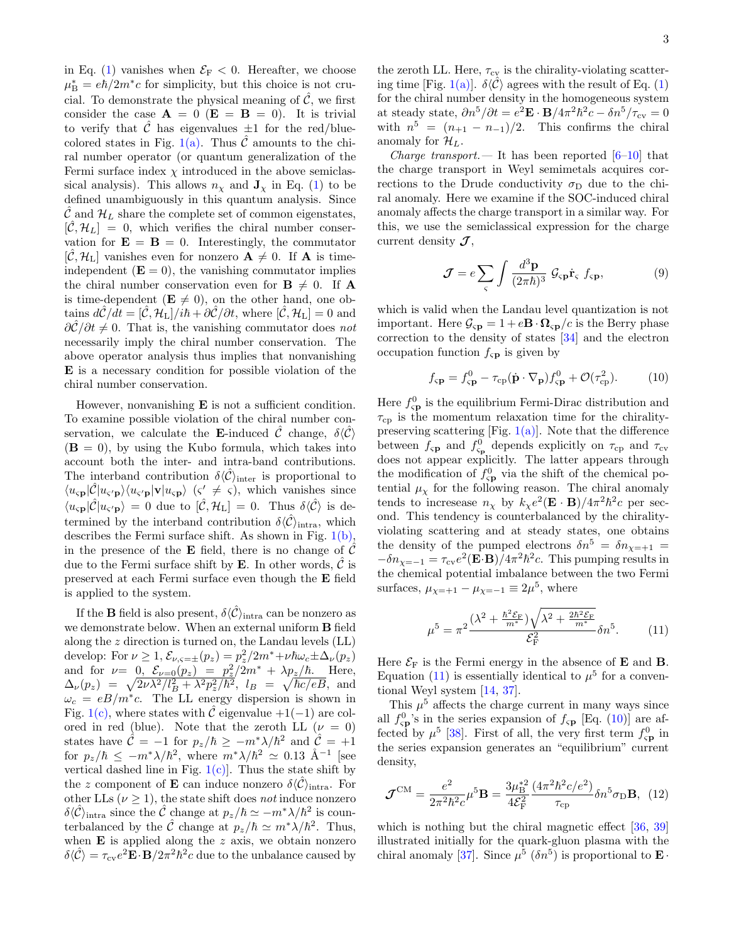in Eq. [\(1\)](#page-0-0) vanishes when  $\mathcal{E}_F < 0$ . Hereafter, we choose  $\mu_{\rm B}^* = e\hbar/2m^*c$  for simplicity, but this choice is not crucial. To demonstrate the physical meaning of  $\hat{\mathcal{C}}$ , we first consider the case  $\mathbf{A} = 0$  ( $\mathbf{E} = \mathbf{B} = 0$ ). It is trivial to verify that  $\ddot{C}$  has eigenvalues  $\pm 1$  for the red/blue-colored states in Fig. [1\(a\).](#page-0-1) Thus  $\tilde{\mathcal{C}}$  amounts to the chiral number operator (or quantum generalization of the Fermi surface index  $\chi$  introduced in the above semiclassical analysis). This allows  $n<sub>x</sub>$  and  $J<sub>x</sub>$  in Eq. [\(1\)](#page-0-0) to be defined unambiguously in this quantum analysis. Since  $\mathcal{C}$  and  $\mathcal{H}_L$  share the complete set of common eigenstates,  $[\mathcal{C}, \mathcal{H}_L] = 0$ , which verifies the chiral number conservation for  $\mathbf{E} = \mathbf{B} = 0$ . Interestingly, the commutator  $[\mathcal{C}, \mathcal{H}_L]$  vanishes even for nonzero  $\mathbf{A} \neq 0$ . If  $\mathbf{A}$  is timeindependent  $(E = 0)$ , the vanishing commutator implies the chiral number conservation even for  $\mathbf{B} \neq 0$ . If A is time-dependent ( $\mathbf{E} \neq 0$ ), on the other hand, one obtains  $d\hat{\mathcal{C}}/dt = [\hat{\mathcal{C}}, \mathcal{H}_L]/i\hbar + \partial \hat{\mathcal{C}}/\partial t$ , where  $[\hat{\mathcal{C}}, \mathcal{H}_L] = 0$  and  $\frac{\partial \hat{\mathcal{C}}}{\partial t} \neq 0$ . That is, the vanishing commutator does not necessarily imply the chiral number conservation. The above operator analysis thus implies that nonvanishing E is a necessary condition for possible violation of the chiral number conservation.

However, nonvanishing  $E$  is not a sufficient condition. To examine possible violation of the chiral number conservation, we calculate the **E**-induced C change,  $\delta(\mathcal{C})$  $(\mathbf{B} = 0)$ , by using the Kubo formula, which takes into account both the inter- and intra-band contributions. The interband contribution  $\delta \langle \hat{C} \rangle$ <sub>inter</sub> is proportional to  $\langle u_{\varsigma p} | \hat{C} | u_{\varsigma' p} \rangle \langle u_{\varsigma' p} | \mathbf{v} | u_{\varsigma p} \rangle$  ( $\varsigma' \neq \varsigma$ ), which vanishes since  $\langle u_{\varsigma \mathbf{p}} | \hat{\mathcal{C}} | u_{\varsigma' \mathbf{p}} \rangle = 0$  due to  $[\hat{\mathcal{C}}, \mathcal{H}_L] = 0$ . Thus  $\delta \langle \hat{\mathcal{C}} \rangle$  is determined by the interband contribution  $\delta \langle \hat{C} \rangle$ <sub>intra</sub>, which describes the Fermi surface shift. As shown in Fig. [1\(b\),](#page-0-2) in the presence of the **E** field, there is no change of  $\hat{\mathcal{C}}$ due to the Fermi surface shift by  $E$ . In other words,  $C$  is preserved at each Fermi surface even though the E field is applied to the system.

If the **B** field is also present,  $\delta \langle \hat{C} \rangle$ <sub>intra</sub> can be nonzero as we demonstrate below. When an external uniform B field along the z direction is turned on, the Landau levels (LL) develop: For  $\nu \geq 1$ ,  $\mathcal{E}_{\nu,\varsigma=\pm}(p_z) = p_z^2/2m^* + \nu\hbar\omega_c \pm \Delta_\nu(p_z)$ and for  $\nu = 0$ ,  $\mathcal{E}_{\nu=0}(p_z) = p_z^2/2m^* + \lambda p_z/\hbar$ . Here,  $\Delta_{\nu}(p_z) = \sqrt{2\nu\lambda^2/l_B^2 + \lambda^2 p_z^2/\hbar^2}, l_B = \sqrt{\hbar c/eB}, \text{ and}$  $\omega_c = eB/m^*c$ . The LL energy dispersion is shown in Fig. [1\(c\),](#page-0-3) where states with  $\hat{C}$  eigenvalue  $+1(-1)$  are colored in red (blue). Note that the zeroth LL  $(\nu = 0)$ states have  $\hat{\mathcal{C}} = -1$  for  $p_z/\hbar \ge -m^* \lambda/\hbar^2$  and  $\hat{\mathcal{C}} = +1$ for  $p_z/\hbar \leq -m^* \lambda/\hbar^2$ , where  $m^* \lambda/\hbar^2 \simeq 0.13 \text{ Å}^{-1}$  [see vertical dashed line in Fig.  $1(c)$ . Thus the state shift by the z component of **E** can induce nonzero  $\delta \langle \hat{C} \rangle$ <sub>intra</sub>. For other LLs ( $\nu \geq 1$ ), the state shift does not induce nonzero  $\delta \langle \hat{C} \rangle$ <sub>intra</sub> since the  $\hat{C}$  change at  $p_z/\hbar \simeq -m^* \lambda/\hbar^2$  is counterbalanced by the  $\hat{\mathcal{C}}$  change at  $p_z/\hbar \simeq m^* \lambda/\hbar^2$ . Thus, when  $E$  is applied along the  $z$  axis, we obtain nonzero  $\delta \langle \hat{C} \rangle = \tau_{\rm cv} e^2 \mathbf{E} \cdot \mathbf{B} / 2\pi^2 \hbar^2 c$  due to the unbalance caused by

the zeroth LL. Here,  $\tau_{cv}$  is the chirality-violating scatter-ing time [Fig. [1\(a\)\]](#page-0-1).  $\delta \langle \mathcal{C} \rangle$  agrees with the result of Eq. [\(1\)](#page-0-0) for the chiral number density in the homogeneous system at steady state,  $\partial n^5/\partial t = e^2 \mathbf{E} \cdot \mathbf{B}/4\pi^2 \hbar^2 c - \delta n^5/\tau_{\text{cv}} = 0$ with  $n^5 = (n_{+1} - n_{-1})/2$ . This confirms the chiral anomaly for  $\mathcal{H}_L$ .

*Charge transport.* - It has been reported  $[6-10]$  $[6-10]$  that the charge transport in Weyl semimetals acquires corrections to the Drude conductivity  $\sigma_{\text{D}}$  due to the chiral anomaly. Here we examine if the SOC-induced chiral anomaly affects the charge transport in a similar way. For this, we use the semiclassical expression for the charge current density  $\mathcal{J},$ 

$$
\mathcal{J} = e \sum_{\varsigma} \int \frac{d^3 \mathbf{p}}{(2\pi\hbar)^3} \, \mathcal{G}_{\varsigma \mathbf{p}} \dot{\mathbf{r}}_{\varsigma} \, f_{\varsigma \mathbf{p}}, \tag{9}
$$

which is valid when the Landau level quantization is not important. Here  $\mathcal{G}_{\text{sp}} = 1 + e\mathbf{B} \cdot \mathbf{\Omega}_{\text{sp}}/c$  is the Berry phase correction to the density of states [\[34\]](#page-5-9) and the electron occupation function  $f_{\rm CP}$  is given by

<span id="page-2-1"></span>
$$
f_{\rm sp} = f_{\rm sp}^{0} - \tau_{\rm cp} (\dot{\mathbf{p}} \cdot \nabla_{\mathbf{p}}) f_{\rm sp}^{0} + \mathcal{O}(\tau_{\rm cp}^{2}). \tag{10}
$$

Here  $f_{\rm sp}^0$  is the equilibrium Fermi-Dirac distribution and  $\tau_{\rm cp}$  is the momentum relaxation time for the chiralitypreserving scattering [Fig.  $1(a)$ ]. Note that the difference between  $f_{\rm sp}$  and  $f_{\rm sp}^0$  depends explicitly on  $\tau_{\rm cp}$  and  $\tau_{\rm cv}$ does not appear explicitly. The latter appears through the modification of  $f_{\rm sp}^0$  via the shift of the chemical potential  $\mu_{\chi}$  for the following reason. The chiral anomaly tends to incresease  $n_\chi$  by  $k_\chi e^2 (\mathbf{E} \cdot \mathbf{B}) / 4\pi^2 \hbar^2 c$  per second. This tendency is counterbalanced by the chiralityviolating scattering and at steady states, one obtains the density of the pumped electrons  $\delta n^5 = \delta n_{\chi=+1}$  $-\delta n_{\chi=-1} = \tau_{\text{cv}}e^2(\mathbf{E} \cdot \mathbf{B})/4\pi^2\hbar^2c$ . This pumping results in the chemical potential imbalance between the two Fermi surfaces,  $\mu_{\chi=+1} - \mu_{\chi=-1} \equiv 2\mu^5$ , where

<span id="page-2-0"></span>
$$
\mu^5 = \pi^2 \frac{(\lambda^2 + \frac{\hbar^2 \mathcal{E}_F}{m^*}) \sqrt{\lambda^2 + \frac{2\hbar^2 \mathcal{E}_F}{m^*}}}{\mathcal{E}_F^2} \delta n^5.
$$
 (11)

Here  $\mathcal{E}_{\mathrm{F}}$  is the Fermi energy in the absence of **E** and **B**. Equation [\(11\)](#page-2-0) is essentially identical to  $\mu^5$  for a conventional Weyl system [\[14,](#page-4-14) [37\]](#page-5-12).

This  $\mu^5$  affects the charge current in many ways since all  $f_{\rm SP}^0$ 's in the series expansion of  $f_{\rm SP}$  [Eq. [\(10\)](#page-2-1)] are affected by  $\mu^5$  [\[38\]](#page-5-13). First of all, the very first term  $f_{\rm sp}^0$  in the series expansion generates an "equilibrium" current density,

<span id="page-2-2"></span>
$$
\mathcal{J}^{\text{CM}} = \frac{e^2}{2\pi^2\hbar^2 c} \mu^5 \mathbf{B} = \frac{3\mu_{\text{B}}^{*2}}{4\mathcal{E}_{\text{F}}^2} \frac{(4\pi^2\hbar^2 c/e^2)}{\tau_{\text{cp}}} \delta n^5 \sigma_{\text{D}} \mathbf{B}, \tag{12}
$$

which is nothing but the chiral magnetic effect [\[36,](#page-5-11) [39\]](#page-5-14) illustrated initially for the quark-gluon plasma with the chiral anomaly [\[37\]](#page-5-12). Since  $\mu^5$  ( $\delta n^5$ ) is proportional to  $\mathbf{E} \cdot$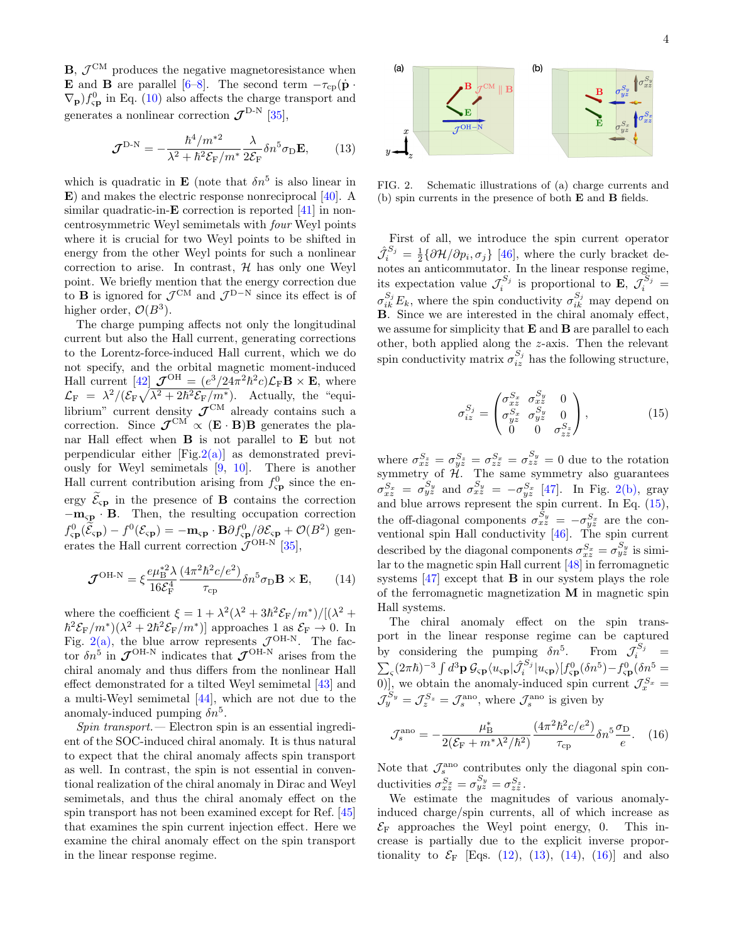$\mathbf{B}, \mathcal{J}^{\text{CM}}$  produces the negative magnetoresistance when **E** and **B** are parallel [\[6](#page-4-13)[–8\]](#page-4-6). The second term  $-\tau_{cp}(\dot{\mathbf{p}})$  $\nabla_{\mathbf{p}} f_{\rm sp}^0$  in Eq. [\(10\)](#page-2-1) also affects the charge transport and generates a nonlinear correction  $\mathcal{J}^{\text{D-N}}$  [\[35\]](#page-5-10),

$$
\mathcal{J}^{\text{D-N}} = -\frac{\hbar^4/m^{*2}}{\lambda^2 + \hbar^2 \mathcal{E}_F/m^*} \frac{\lambda}{2\mathcal{E}_F} \delta n^5 \sigma_{\text{D}} \mathbf{E},\qquad(13)
$$

which is quadratic in **E** (note that  $\delta n^5$  is also linear in E) and makes the electric response nonreciprocal [\[40\]](#page-5-15). A similar quadratic-in-**E** correction is reported [\[41\]](#page-5-16) in noncentrosymmetric Weyl semimetals with four Weyl points where it is crucial for two Weyl points to be shifted in energy from the other Weyl points for such a nonlinear correction to arise. In contrast,  $H$  has only one Weyl point. We briefly mention that the energy correction due to **B** is ignored for  $\mathcal{J}^{\text{CM}}$  and  $\mathcal{J}^{\text{D-N}}$  since its effect is of higher order,  $\mathcal{O}(B^3)$ .

The charge pumping affects not only the longitudinal current but also the Hall current, generating corrections to the Lorentz-force-induced Hall current, which we do not specify, and the orbital magnetic moment-induced Hall current [\[42\]](#page-5-17)  $J^{\text{OH}} = (e^3/24\pi^2\hbar^2c)\mathcal{L}_F\mathbf{B} \times \mathbf{E}$ , where  $\mathcal{L}_{\rm F} = \lambda^2/(\mathcal{E}_{\rm F} \sqrt{\lambda^2 + 2\hbar^2 \mathcal{E}_{\rm F}/m^*})$ . Actually, the "equilibrium" current density  $\mathcal{J}^{\text{CM}}$  already contains such a correction. Since  $\mathcal{J}^{\text{CM}} \propto (\mathbf{E} \cdot \mathbf{B}) \mathbf{B}$  generates the planar Hall effect when B is not parallel to E but not perpendicular either  $[Fig.2(a)]$  $[Fig.2(a)]$  as demonstrated previously for Weyl semimetals [\[9,](#page-4-7) [10\]](#page-4-8). There is another Hall current contribution arising from  $f_{\rm sp}^0$  since the energy  $\mathcal{E}_{\text{sp}}$  in the presence of **B** contains the correction  $-\mathbf{m}_{\rm sp} \cdot \mathbf{B}$ . Then, the resulting occupation correction  $f_{\rm cp}^0(\tilde{\mathcal{E}}_{\rm cp}) - f^0(\mathcal{E}_{\rm cp}) = -\mathbf{m}_{\rm cp} \cdot \mathbf{B} \partial f_{\rm cp}^0/\partial \mathcal{E}_{\rm cp} + \mathcal{O}(B^2)$  generates the Hall current correction  $\mathcal{J}^{\text{OH-N}}$  [\[35\]](#page-5-10),

$$
\mathcal{J}^{\text{OH-N}} = \xi \frac{e\mu_{\text{B}}^{*2} \lambda}{16\mathcal{E}_{\text{F}}^4} \frac{(4\pi^2 \hbar^2 c/e^2)}{\tau_{\text{cp}}} \delta n^5 \sigma_{\text{D}} \mathbf{B} \times \mathbf{E}, \qquad (14)
$$

where the coefficient  $\xi = 1 + \lambda^2(\lambda^2 + 3\hbar^2 \mathcal{E}_F/m^*)/[(\lambda^2 +$  $\hbar^2 \mathcal{E}_F/m^*$  $(\lambda^2 + 2\hbar^2 \mathcal{E}_F/m^*)$ ] approaches 1 as  $\mathcal{E}_F \to 0$ . In Fig. [2\(a\),](#page-3-0) the blue arrow represents  $\mathcal{J}^{\text{OH-N}}$ . The factor  $\delta n^5$  in  $\mathcal{J}^{\text{OH-N}}$  indicates that  $\mathcal{J}^{\text{OH-N}}$  arises from the chiral anomaly and thus differs from the nonlinear Hall effect demonstrated for a tilted Weyl semimetal [\[43\]](#page-5-18) and a multi-Weyl semimetal [\[44\]](#page-5-19), which are not due to the anomaly-induced pumping  $\delta n^5$ .

Spin transport.— Electron spin is an essential ingredient of the SOC-induced chiral anomaly. It is thus natural to expect that the chiral anomaly affects spin transport as well. In contrast, the spin is not essential in conventional realization of the chiral anomaly in Dirac and Weyl semimetals, and thus the chiral anomaly effect on the spin transport has not been examined except for Ref. [\[45\]](#page-5-20) that examines the spin current injection effect. Here we examine the chiral anomaly effect on the spin transport in the linear response regime.

<span id="page-3-1"></span><span id="page-3-0"></span>4

<span id="page-3-3"></span>

FIG. 2. Schematic illustrations of (a) charge currents and (b) spin currents in the presence of both E and B fields.

First of all, we introduce the spin current operator  $\hat{\mathcal{J}}_i^{S_j} = \frac{1}{2} \{ \partial \mathcal{H} / \partial p_i, \sigma_j \}$  [\[46\]](#page-5-21), where the curly bracket denotes an anticommutator. In the linear response regime, its expectation value  $\mathcal{J}_i^{S_j}$  is proportional to **E**,  $\mathcal{J}_i^{S_j}$  =  $\sigma_{ik}^{S_j} E_k$ , where the spin conductivity  $\sigma_{ik}^{S_j}$  may depend on B. Since we are interested in the chiral anomaly effect, we assume for simplicity that  $E$  and  $B$  are parallel to each other, both applied along the z-axis. Then the relevant spin conductivity matrix  $\sigma_{iz}^{S_j}$  has the following structure,

<span id="page-3-2"></span>
$$
\sigma_{iz}^{S_j} = \begin{pmatrix} \sigma_{xz}^{S_x} & \sigma_{xz}^{S_y} & 0\\ \sigma_{yz}^{S_x} & \sigma_{yz}^{S_y} & 0\\ 0 & 0 & \sigma_{zz}^{S_z} \end{pmatrix},
$$
(15)

where  $\sigma_{xz}^{S_z} = \sigma_{yz}^{S_z} = \sigma_{zz}^{S_y} = \sigma_{zz}^{S_y} = 0$  due to the rotation symmetry of  $H$ . The same symmetry also guarantees  $\sigma_{xz}^{S_x} = \sigma_{yz}^{S_y}$  and  $\sigma_{xz}^{S_y} = -\sigma_{yz}^{S_x}$  [\[47\]](#page-5-22). In Fig. [2\(b\),](#page-3-1) gray and blue arrows represent the spin current. In Eq. [\(15\)](#page-3-2), the off-diagonal components  $\sigma_{xz}^{S_y} = -\sigma_{yz}^{S_x}$  are the conventional spin Hall conductivity [\[46\]](#page-5-21). The spin current described by the diagonal components  $\sigma_{xz}^{S_x} = \sigma_{yz}^{S_y}$  is similar to the magnetic spin Hall current  $\overline{[48]}$  $\overline{[48]}$  $\overline{[48]}$  in ferromagnetic systems  $[47]$  except that **B** in our system plays the role of the ferromagnetic magnetization M in magnetic spin Hall systems.

<span id="page-3-4"></span>The chiral anomaly effect on the spin transport in the linear response regime can be captured by considering the pumping  $\delta n^5$ . From  $\mathcal{J}_i^{S_j}$  =  $\sum_{\varsigma}(2\pi\hbar)^{-3}\int d^3{\bf p}\;{\cal G}_{\varsigma{\bf p}}\langle u_{\varsigma{\bf p}}|\hat{{\cal J}}^{S_j}_i|u_{\varsigma{\bf p}}\rangle[f^0_{\varsigma{\bf p}}(\delta n^5)-f^0_{\varsigma{\bf p}}(\delta n^5=$ 0)], we obtain the anomaly-induced spin current  $\mathcal{J}_x^{S_x} =$  $\mathcal{J}_y^{S_y} = \mathcal{J}_z^{S_z} = \mathcal{J}_s^{\text{ano}}$ , where  $\mathcal{J}_s^{\text{ano}}$  is given by

<span id="page-3-5"></span>
$$
\mathcal{J}_s^{\text{ano}} = -\frac{\mu_{\text{B}}^*}{2(\mathcal{E}_{\text{F}} + m^* \lambda^2/\hbar^2)} \frac{(4\pi^2 \hbar^2 c/e^2)}{\tau_{\text{cp}}} \delta n^5 \frac{\sigma_{\text{D}}}{e}. \quad (16)
$$

Note that  $\mathcal{J}_s^{\text{ano}}$  contributes only the diagonal spin conductivities  $\sigma_{xz}^{S_x} = \sigma_{yz}^{S_y} = \sigma_{zz}^{S_z}$ .

We estimate the magnitudes of various anomalyinduced charge/spin currents, all of which increase as  $\mathcal{E}_F$  approaches the Weyl point energy, 0. This increase is partially due to the explicit inverse proportionality to  $\mathcal{E}_{\text{F}}$  [Eqs. [\(12\)](#page-2-2), [\(13\)](#page-3-3), [\(14\)](#page-3-4), [\(16\)](#page-3-5)] and also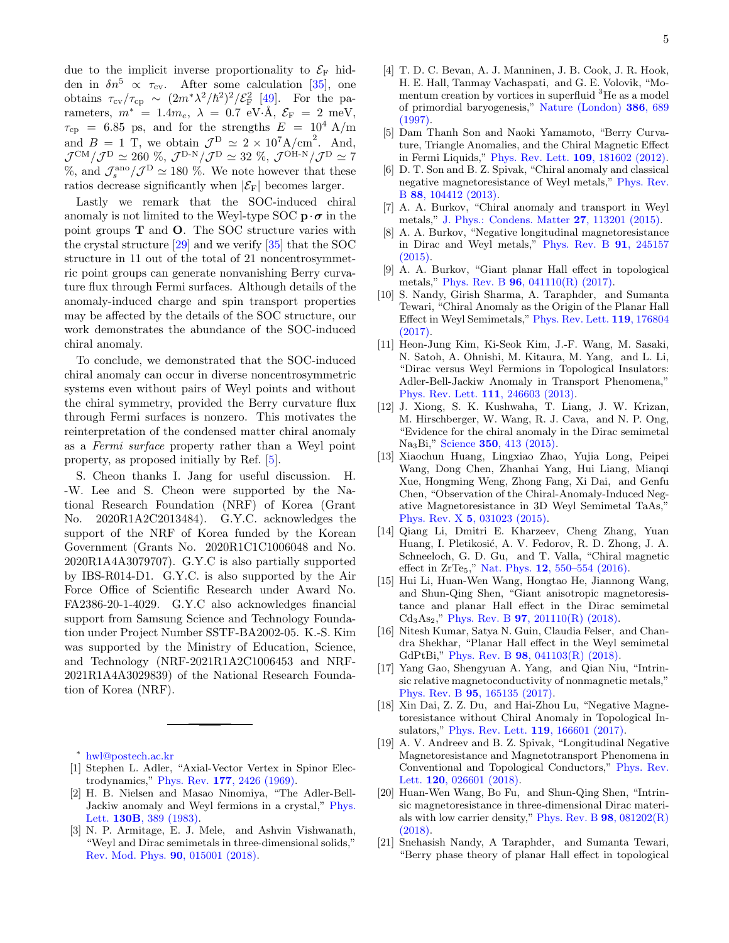due to the implicit inverse proportionality to  $\mathcal{E}_{\mathrm{F}}$  hidden in  $\delta n^5 \propto \tau_{\rm cv}$ . After some calculation [\[35\]](#page-5-10), one obtains  $\tau_{cv}/\tau_{cp} \sim (2m^*\lambda^2/\hbar^2)^2/\mathcal{E}_{\rm F}^2$  [\[49\]](#page-5-24). For the pa-For the parameters,  $m^* = 1.4m_e$ ,  $\lambda = 0.7$  eV $\cdot$ Å,  $\mathcal{E}_F = 2$  meV,  $\tau_{\rm cp}$  = 6.85 ps, and for the strengths  $E = 10^4$  A/m and  $B = 1$  T, we obtain  $\mathcal{J}^D \simeq 2 \times 10^7 A/cm^2$ . And,  ${\cal J}^{\rm CM}/{\cal J}^{\rm D} \simeq 260\; \%, \, {\cal J}^{\rm D\text{-}N}/{\cal J}^{\rm D} \simeq 32\; \%, \, {\cal J}^{\rm OH\text{-}N}/{\cal J}^{\rm D} \simeq 7$ %, and  $\mathcal{J}_s^{\rm ano}/\mathcal{J}^{\rm D} \simeq 180$  %. We note however that these ratios decrease significantly when  $|\mathcal{E}_F|$  becomes larger.

Lastly we remark that the SOC-induced chiral anomaly is not limited to the Weyl-type SOC  $\mathbf{p} \cdot \boldsymbol{\sigma}$  in the point groups T and O. The SOC structure varies with the crystal structure [\[29\]](#page-5-6) and we verify [\[35\]](#page-5-10) that the SOC structure in 11 out of the total of 21 noncentrosymmetric point groups can generate nonvanishing Berry curvature flux through Fermi surfaces. Although details of the anomaly-induced charge and spin transport properties may be affected by the details of the SOC structure, our work demonstrates the abundance of the SOC-induced chiral anomaly.

To conclude, we demonstrated that the SOC-induced chiral anomaly can occur in diverse noncentrosymmetric systems even without pairs of Weyl points and without the chiral symmetry, provided the Berry curvature flux through Fermi surfaces is nonzero. This motivates the reinterpretation of the condensed matter chiral anomaly as a Fermi surface property rather than a Weyl point property, as proposed initially by Ref. [\[5\]](#page-4-5).

S. Cheon thanks I. Jang for useful discussion. H. -W. Lee and S. Cheon were supported by the National Research Foundation (NRF) of Korea (Grant No. 2020R1A2C2013484). G.Y.C. acknowledges the support of the NRF of Korea funded by the Korean Government (Grants No. 2020R1C1C1006048 and No. 2020R1A4A3079707). G.Y.C is also partially supported by IBS-R014-D1. G.Y.C. is also supported by the Air Force Office of Scientific Research under Award No. FA2386-20-1-4029. G.Y.C also acknowledges financial support from Samsung Science and Technology Foundation under Project Number SSTF-BA2002-05. K.-S. Kim was supported by the Ministry of Education, Science, and Technology (NRF-2021R1A2C1006453 and NRF-2021R1A4A3029839) of the National Research Foundation of Korea (NRF).

<span id="page-4-0"></span><sup>∗</sup> [hwl@postech.ac.kr](mailto:hwl@postech.ac.kr)

- <span id="page-4-1"></span>[1] Stephen L. Adler, "Axial-Vector Vertex in Spinor Electrodynamics," Phys. Rev. 177[, 2426 \(1969\).](http://dx.doi.org/ 10.1103/PhysRev.177.2426)
- <span id="page-4-2"></span>[2] H. B. Nielsen and Masao Ninomiya, "The Adler-Bell-Jackiw anomaly and Weyl fermions in a crystal," [Phys.](http://dx.doi.org/10.1016/0370-2693(83)91529-0) Lett. 130B[, 389 \(1983\).](http://dx.doi.org/10.1016/0370-2693(83)91529-0)
- <span id="page-4-3"></span>[3] N. P. Armitage, E. J. Mele, and Ashvin Vishwanath, "Weyl and Dirac semimetals in three-dimensional solids," [Rev. Mod. Phys.](http://dx.doi.org/ 10.1103/RevModPhys.90.015001) 90, 015001 (2018).
- <span id="page-4-4"></span>[4] T. D. C. Bevan, A. J. Manninen, J. B. Cook, J. R. Hook, H. E. Hall, Tanmay Vachaspati, and G. E. Volovik, "Momentum creation by vortices in superfluid <sup>3</sup>He as a model of primordial baryogenesis," [Nature \(London\)](http://dx.doi.org/ https://doi.org/10.1038/386689a0) 386, 689 [\(1997\).](http://dx.doi.org/ https://doi.org/10.1038/386689a0)
- <span id="page-4-5"></span>[5] Dam Thanh Son and Naoki Yamamoto, "Berry Curvature, Triangle Anomalies, and the Chiral Magnetic Effect in Fermi Liquids," [Phys. Rev. Lett.](http://dx.doi.org/10.1103/PhysRevLett.109.181602) 109, 181602 (2012).
- <span id="page-4-13"></span>[6] D. T. Son and B. Z. Spivak, "Chiral anomaly and classical negative magnetoresistance of Weyl metals," [Phys. Rev.](http://dx.doi.org/ 10.1103/PhysRevB.88.104412) B 88[, 104412 \(2013\).](http://dx.doi.org/ 10.1103/PhysRevB.88.104412)
- [7] A. A. Burkov, "Chiral anomaly and transport in Weyl metals," [J. Phys.: Condens. Matter](http://dx.doi.org/ 10.1088/0953-8984/27/11/113201) 27, 113201 (2015).
- <span id="page-4-6"></span>[8] A. A. Burkov, "Negative longitudinal magnetoresistance in Dirac and Weyl metals," [Phys. Rev. B](http://dx.doi.org/ 10.1103/PhysRevB.91.245157) 91, 245157 [\(2015\).](http://dx.doi.org/ 10.1103/PhysRevB.91.245157)
- <span id="page-4-7"></span>[9] A. A. Burkov, "Giant planar Hall effect in topological metals," Phys. Rev. B 96[, 041110\(R\) \(2017\).](http://dx.doi.org/ 10.1103/PhysRevB.96.041110)
- <span id="page-4-8"></span>[10] S. Nandy, Girish Sharma, A. Taraphder, and Sumanta Tewari, "Chiral Anomaly as the Origin of the Planar Hall Effect in Weyl Semimetals," [Phys. Rev. Lett.](http://dx.doi.org/ 10.1103/PhysRevLett.119.176804) 119, 176804 [\(2017\).](http://dx.doi.org/ 10.1103/PhysRevLett.119.176804)
- <span id="page-4-9"></span>[11] Heon-Jung Kim, Ki-Seok Kim, J.-F. Wang, M. Sasaki, N. Satoh, A. Ohnishi, M. Kitaura, M. Yang, and L. Li, "Dirac versus Weyl Fermions in Topological Insulators: Adler-Bell-Jackiw Anomaly in Transport Phenomena," [Phys. Rev. Lett.](http://dx.doi.org/ 10.1103/PhysRevLett.111.246603) 111, 246603 (2013).
- [12] J. Xiong, S. K. Kushwaha, T. Liang, J. W. Krizan, M. Hirschberger, W. Wang, R. J. Cava, and N. P. Ong, "Evidence for the chiral anomaly in the Dirac semimetal Na3Bi," Science 350[, 413 \(2015\).](http://dx.doi.org/10.1126/science.aac6089)
- [13] Xiaochun Huang, Lingxiao Zhao, Yujia Long, Peipei Wang, Dong Chen, Zhanhai Yang, Hui Liang, Mianqi Xue, Hongming Weng, Zhong Fang, Xi Dai, and Genfu Chen, "Observation of the Chiral-Anomaly-Induced Negative Magnetoresistance in 3D Weyl Semimetal TaAs," Phys. Rev. X 5[, 031023 \(2015\).](http://dx.doi.org/10.1103/PhysRevX.5.031023)
- <span id="page-4-14"></span>[14] Qiang Li, Dmitri E. Kharzeev, Cheng Zhang, Yuan Huang, I. Pletikosić, A. V. Fedorov, R. D. Zhong, J. A. Schneeloch, G. D. Gu, and T. Valla, "Chiral magnetic effect in ZrTe<sub>5</sub>," Nat. Phys. **12**[, 550–554 \(2016\).](http://dx.doi.org/ 10.1038/nphys3648)
- [15] Hui Li, Huan-Wen Wang, Hongtao He, Jiannong Wang, and Shun-Qing Shen, "Giant anisotropic magnetoresistance and planar Hall effect in the Dirac semimetal  $Cd<sub>3</sub>A<sub>52</sub>$ ," Phys. Rev. B **97**[, 201110\(R\) \(2018\).](http://dx.doi.org/ 10.1103/PhysRevB.97.201110)
- <span id="page-4-10"></span>[16] Nitesh Kumar, Satya N. Guin, Claudia Felser, and Chandra Shekhar, "Planar Hall effect in the Weyl semimetal GdPtBi," Phys. Rev. B 98[, 041103\(R\) \(2018\).](http://dx.doi.org/10.1103/PhysRevB.98.041103)
- <span id="page-4-11"></span>[17] Yang Gao, Shengyuan A. Yang, and Qian Niu, "Intrinsic relative magnetoconductivity of nonmagnetic metals," Phys. Rev. B 95[, 165135 \(2017\).](http://dx.doi.org/ 10.1103/PhysRevB.95.165135)
- [18] Xin Dai, Z. Z. Du, and Hai-Zhou Lu, "Negative Magnetoresistance without Chiral Anomaly in Topological Insulators," [Phys. Rev. Lett.](http://dx.doi.org/ 10.1103/PhysRevLett.119.166601) 119, 166601 (2017).
- <span id="page-4-12"></span>[19] A. V. Andreev and B. Z. Spivak, "Longitudinal Negative Magnetoresistance and Magnetotransport Phenomena in Conventional and Topological Conductors," [Phys. Rev.](http://dx.doi.org/10.1103/PhysRevLett.120.026601) Lett. **120**[, 026601 \(2018\).](http://dx.doi.org/10.1103/PhysRevLett.120.026601)
- [20] Huan-Wen Wang, Bo Fu, and Shun-Qing Shen, "Intrinsic magnetoresistance in three-dimensional Dirac materials with low carrier density," [Phys. Rev. B](http://dx.doi.org/10.1103/PhysRevB.98.081202) 98, 081202(R) [\(2018\).](http://dx.doi.org/10.1103/PhysRevB.98.081202)
- [21] Snehasish Nandy, A Taraphder, and Sumanta Tewari, "Berry phase theory of planar Hall effect in topological